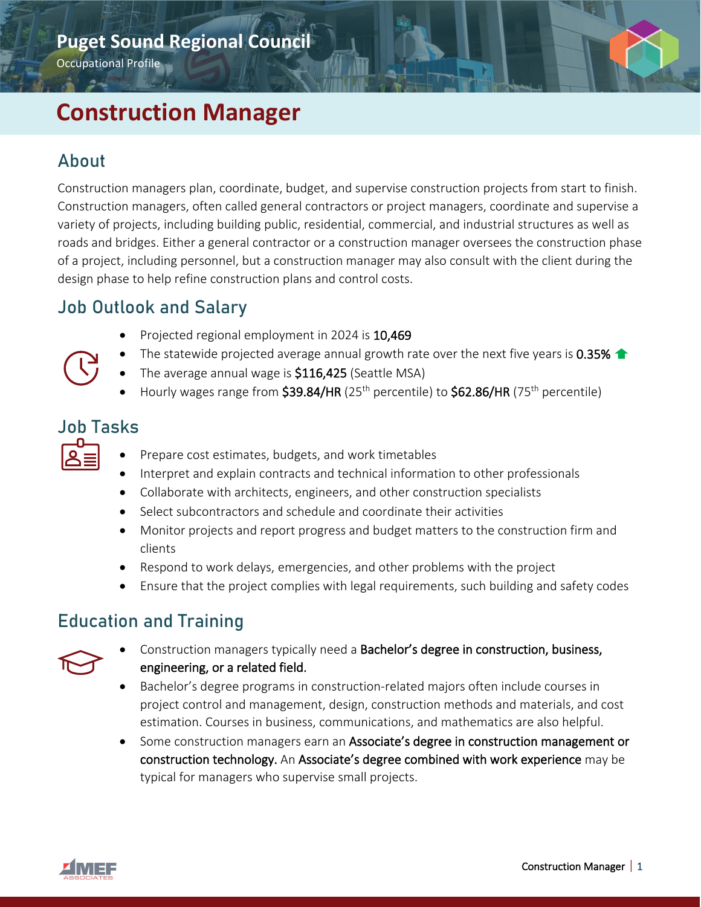# **Construction Manager**

## About

Construction managers plan, coordinate, budget, and supervise construction projects from start to finish. Construction managers, often called general contractors or project managers, coordinate and supervise a variety of projects, including building public, residential, commercial, and industrial structures as well as roads and bridges. Either a general contractor or a construction manager oversees the construction phase of a project, including personnel, but a construction manager may also consult with the client during the design phase to help refine construction plans and control costs.

## Job Outlook and Salary

- Projected regional employment in 2024 is 10,469
- The statewide projected average annual growth rate over the next five years is 0.35%  $\triangle$
- The average annual wage is **\$116,425** (Seattle MSA)
- Hourly wages range from  $$39.84/HR$  (25<sup>th</sup> percentile) to  $$62.86/HR$  (75<sup>th</sup> percentile)

### Job Tasks

| $\mathcal{L}(\mathcal{L})$ and $\mathcal{L}(\mathcal{L})$ and $\mathcal{L}(\mathcal{L})$<br>$\mathcal{L}(\mathcal{L})$ and $\mathcal{L}(\mathcal{L})$ and $\mathcal{L}(\mathcal{L})$ |  |
|--------------------------------------------------------------------------------------------------------------------------------------------------------------------------------------|--|
|                                                                                                                                                                                      |  |
| $\mathcal{L}(\mathcal{L})$ and $\mathcal{L}(\mathcal{L})$ and $\mathcal{L}(\mathcal{L})$                                                                                             |  |

- Prepare cost estimates, budgets, and work timetables
- Interpret and explain contracts and technical information to other professionals
- Collaborate with architects, engineers, and other construction specialists
- Select subcontractors and schedule and coordinate their activities
- Monitor projects and report progress and budget matters to the construction firm and clients
- Respond to work delays, emergencies, and other problems with the project
- Ensure that the project complies with legal requirements, such building and safety codes

#### Education and Training



- Construction managers typically need a Bachelor's degree in construction, business, engineering, or a related field.
- Bachelor's degree programs in construction-related majors often include courses in project control and management, design, construction methods and materials, and cost estimation. Courses in business, communications, and mathematics are also helpful.
- Some construction managers earn an Associate's degree in construction management or construction technology. An Associate's degree combined with work experience may be typical for managers who supervise small projects.

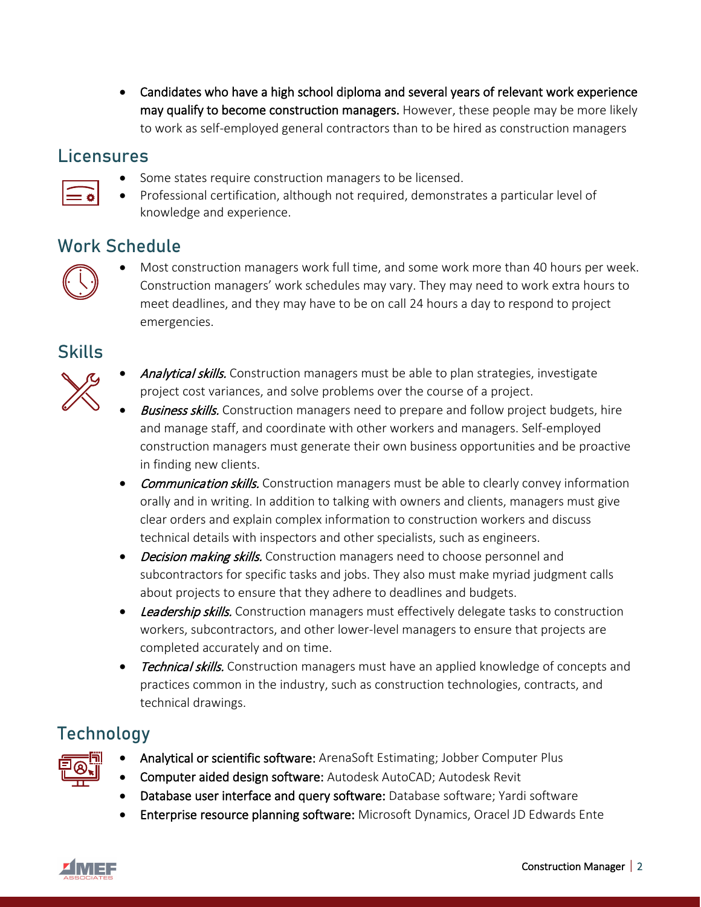• Candidates who have a high school diploma and several years of relevant work experience may qualify to become construction managers. However, these people may be more likely to work as self-employed general contractors than to be hired as construction managers

#### **Licensures**



• Professional certification, although not required, demonstrates a particular level of knowledge and experience.

### Work Schedule



• Most construction managers work full time, and some work more than 40 hours per week. Construction managers' work schedules may vary. They may need to work extra hours to meet deadlines, and they may have to be on call 24 hours a day to respond to project emergencies.

#### Skills



- Analytical skills. Construction managers must be able to plan strategies, investigate project cost variances, and solve problems over the course of a project.
- **Business skills.** Construction managers need to prepare and follow project budgets, hire and manage staff, and coordinate with other workers and managers. Self-employed construction managers must generate their own business opportunities and be proactive in finding new clients.
- Communication skills. Construction managers must be able to clearly convey information orally and in writing. In addition to talking with owners and clients, managers must give clear orders and explain complex information to construction workers and discuss technical details with inspectors and other specialists, such as engineers.
- Decision making skills. Construction managers need to choose personnel and subcontractors for specific tasks and jobs. They also must make myriad judgment calls about projects to ensure that they adhere to deadlines and budgets.
- Leadership skills. Construction managers must effectively delegate tasks to construction workers, subcontractors, and other lower-level managers to ensure that projects are completed accurately and on time.
- Technical skills. Construction managers must have an applied knowledge of concepts and practices common in the industry, such as construction technologies, contracts, and technical drawings.

# Technology



- Analytical or scientific software: ArenaSoft Estimating; Jobber Computer Plus
- Computer aided design software: Autodesk AutoCAD; Autodesk Revit
- Database user interface and query software: Database software; Yardi software
- Enterprise resource planning software: Microsoft Dynamics, Oracel JD Edwards Ente

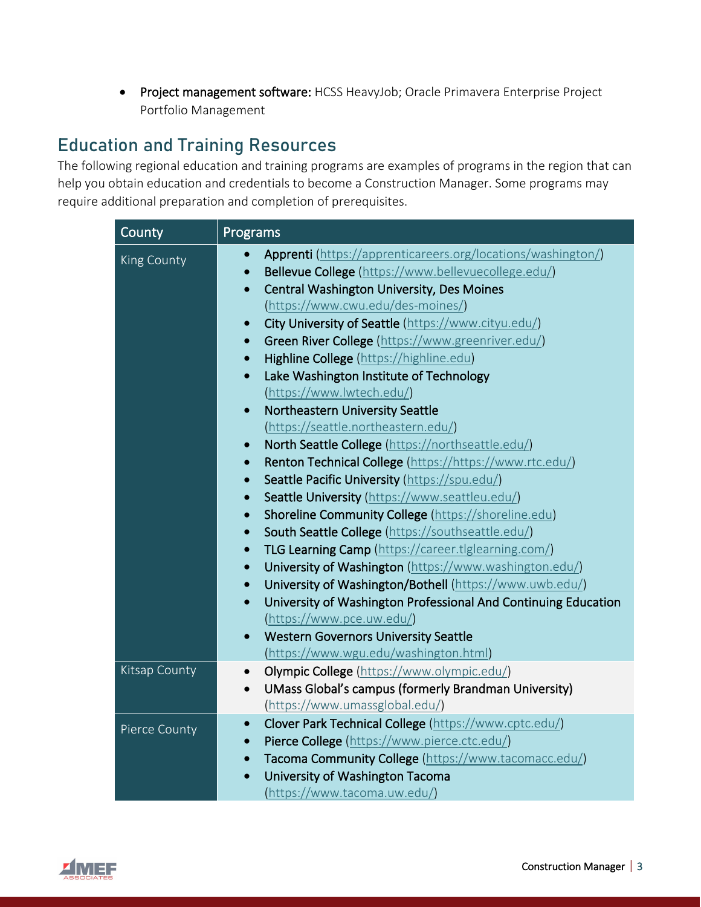• Project management software: HCSS HeavyJob; Oracle Primavera Enterprise Project Portfolio Management

# Education and Training Resources

The following regional education and training programs are examples of programs in the region that can help you obtain education and credentials to become a Construction Manager. Some programs may require additional preparation and completion of prerequisites.

| County             | Programs                                                                                                                                                                                                                                                                                                                                                                                                                                                                                                                                                                                                                                                                                                                                                                                                                                                                                                                                                                                                                                                                                                                                                                                                                                                                                                                                                                                                                              |
|--------------------|---------------------------------------------------------------------------------------------------------------------------------------------------------------------------------------------------------------------------------------------------------------------------------------------------------------------------------------------------------------------------------------------------------------------------------------------------------------------------------------------------------------------------------------------------------------------------------------------------------------------------------------------------------------------------------------------------------------------------------------------------------------------------------------------------------------------------------------------------------------------------------------------------------------------------------------------------------------------------------------------------------------------------------------------------------------------------------------------------------------------------------------------------------------------------------------------------------------------------------------------------------------------------------------------------------------------------------------------------------------------------------------------------------------------------------------|
| <b>King County</b> | <b>Apprenti</b> (https://apprenticareers.org/locations/washington/)<br>$\bullet$<br>Bellevue College (https://www.bellevuecollege.edu/)<br>$\bullet$<br>Central Washington University, Des Moines<br>$\bullet$<br>(https://www.cwu.edu/des-moines/)<br>City University of Seattle (https://www.cityu.edu/)<br>$\bullet$<br>Green River College (https://www.greenriver.edu/)<br>$\bullet$<br>Highline College (https://highline.edu)<br>$\bullet$<br>Lake Washington Institute of Technology<br>$\bullet$<br>(https://www.lwtech.edu/)<br>Northeastern University Seattle<br>$\bullet$<br>(https://seattle.northeastern.edu/)<br>North Seattle College (https://northseattle.edu/)<br>$\bullet$<br>Renton Technical College (https://https://www.rtc.edu/)<br>$\bullet$<br>Seattle Pacific University (https://spu.edu/)<br>$\bullet$<br>Seattle University (https://www.seattleu.edu/)<br>$\bullet$<br>Shoreline Community College (https://shoreline.edu)<br>$\bullet$<br>South Seattle College (https://southseattle.edu/)<br>$\bullet$<br>TLG Learning Camp (https://career.tlglearning.com/)<br>$\bullet$<br>University of Washington (https://www.washington.edu/)<br>$\bullet$<br>University of Washington/Bothell (https://www.uwb.edu/)<br>$\bullet$<br>University of Washington Professional And Continuing Education<br>$\bullet$<br>(https://www.pce.uw.edu/)<br><b>Western Governors University Seattle</b><br>$\bullet$ |
| Kitsap County      | (https://www.wgu.edu/washington.html)<br>Olympic College (https://www.olympic.edu/)<br>$\bullet$<br>UMass Global's campus (formerly Brandman University)<br>$\bullet$<br>(https://www.umassglobal.edu/)                                                                                                                                                                                                                                                                                                                                                                                                                                                                                                                                                                                                                                                                                                                                                                                                                                                                                                                                                                                                                                                                                                                                                                                                                               |
| Pierce County      | Clover Park Technical College (https://www.cptc.edu/)<br>$\bullet$<br>Pierce College (https://www.pierce.ctc.edu/)<br>$\bullet$<br>Tacoma Community College (https://www.tacomacc.edu/)<br>$\bullet$<br>University of Washington Tacoma<br>$\bullet$<br>(https://www.tacoma.uw.edu/)                                                                                                                                                                                                                                                                                                                                                                                                                                                                                                                                                                                                                                                                                                                                                                                                                                                                                                                                                                                                                                                                                                                                                  |